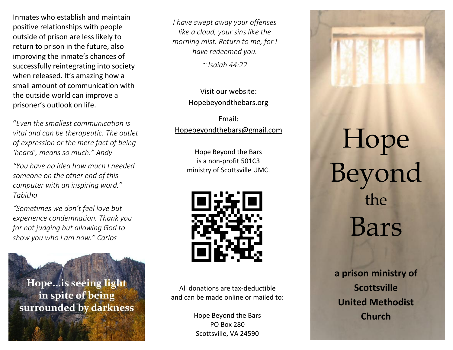Inmates who establish and maintain positive relationships with people outside of prison are less likely to return to prison in the future, also improving the inmate's chances of successfully reintegrating into society when released. It's amazing how a small amount of communication with the outside world can improve a prisoner's outlook on life.

"*Even the smallest communication is vital and can be therapeutic. The outlet of expression or the mere fact of being 'heard', means so much." Andy*

*"You have no idea how much I needed someone on the other end of this computer with an inspiring word." Tabitha*

*"Sometimes we don't feel love but experience condemnation. Thank you for not judging but allowing God to show you who I am now." Carlos*

Hope...is seeing light in spite of being surrounded by darkness *I have swept away your offenses like a cloud, your sins like the morning mist. Return to me, for I have redeemed you.*

*~ Isaiah 44:22*

Visit our website: Hopebeyondthebars.org

Email: [Hopebeyondthebars@gmail.com](mailto:Hopebeyondthebars@gmail.com)

> Hope Beyond the Bars is a non-profit 501C3 ministry of Scottsville UMC.



All donations are tax-deductible and can be made online or mailed to:

> Hope Beyond the Bars PO Box 280 Scottsville, VA 24590



## Hope Beyond the Bars

**a prison ministry of Scottsville United Methodist Church**